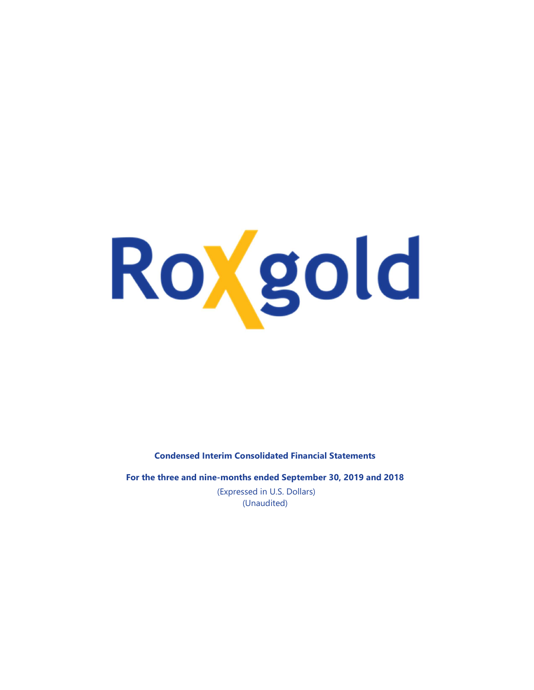

Condensed Interim Consolidated Financial Statements

For the three and nine-months ended September 30, 2019 and 2018 (Expressed in U.S. Dollars) (Unaudited)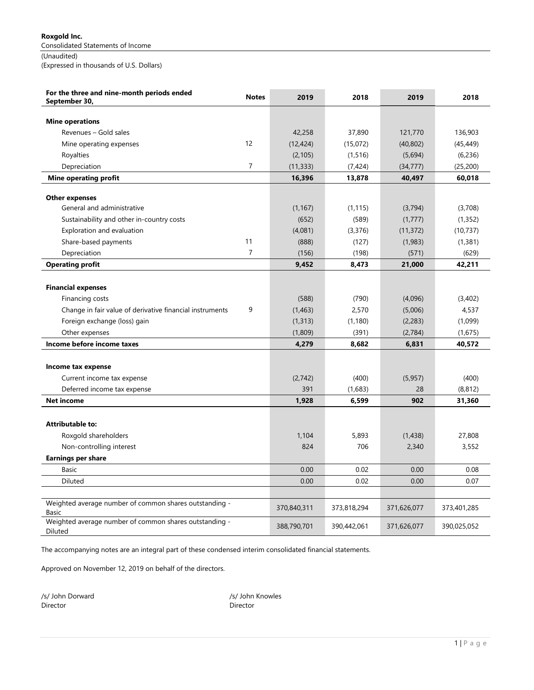## Roxgold Inc.

Consolidated Statements of Income

## (Unaudited)

(Expressed in thousands of U.S. Dollars)

| For the three and nine-month periods ended<br>September 30,       | <b>Notes</b>   | 2019        | 2018        | 2019        | 2018        |
|-------------------------------------------------------------------|----------------|-------------|-------------|-------------|-------------|
|                                                                   |                |             |             |             |             |
| <b>Mine operations</b>                                            |                |             |             |             |             |
| Revenues - Gold sales                                             |                | 42,258      | 37,890      | 121,770     | 136,903     |
| Mine operating expenses                                           | 12             | (12, 424)   | (15,072)    | (40, 802)   | (45, 449)   |
| Royalties                                                         |                | (2, 105)    | (1, 516)    | (5,694)     | (6,236)     |
| Depreciation                                                      | $\overline{7}$ | (11, 333)   | (7, 424)    | (34, 777)   | (25, 200)   |
| Mine operating profit                                             |                | 16,396      | 13,878      | 40,497      | 60,018      |
| <b>Other expenses</b>                                             |                |             |             |             |             |
| General and administrative                                        |                | (1, 167)    | (1, 115)    | (3,794)     | (3,708)     |
| Sustainability and other in-country costs                         |                | (652)       | (589)       | (1,777)     | (1, 352)    |
| Exploration and evaluation                                        |                | (4,081)     | (3, 376)    | (11, 372)   | (10, 737)   |
| Share-based payments                                              | 11             | (888)       | (127)       | (1,983)     | (1, 381)    |
| Depreciation                                                      | $\overline{7}$ | (156)       | (198)       | (571)       | (629)       |
| <b>Operating profit</b>                                           |                | 9,452       | 8,473       | 21,000      | 42,211      |
|                                                                   |                |             |             |             |             |
| <b>Financial expenses</b>                                         |                |             |             |             |             |
| Financing costs                                                   |                | (588)       | (790)       | (4,096)     | (3,402)     |
| Change in fair value of derivative financial instruments          | 9              | (1,463)     | 2,570       | (5,006)     | 4,537       |
| Foreign exchange (loss) gain                                      |                | (1, 313)    | (1, 180)    | (2,283)     | (1,099)     |
| Other expenses                                                    |                | (1,809)     | (391)       | (2,784)     | (1,675)     |
| Income before income taxes                                        |                | 4,279       | 8,682       | 6,831       | 40,572      |
|                                                                   |                |             |             |             |             |
| Income tax expense                                                |                |             |             |             |             |
| Current income tax expense                                        |                | (2,742)     | (400)       | (5, 957)    | (400)       |
| Deferred income tax expense                                       |                | 391         | (1,683)     | 28          | (8, 812)    |
| <b>Net income</b>                                                 |                | 1,928       | 6,599       | 902         | 31,360      |
|                                                                   |                |             |             |             |             |
| <b>Attributable to:</b>                                           |                |             |             |             |             |
| Roxgold shareholders                                              |                | 1,104       | 5,893       | (1,438)     | 27,808      |
| Non-controlling interest                                          |                | 824         | 706         | 2,340       | 3,552       |
| <b>Earnings per share</b>                                         |                |             |             |             |             |
| <b>Basic</b>                                                      |                | 0.00        | 0.02        | 0.00        | 0.08        |
| Diluted                                                           |                | 0.00        | 0.02        | 0.00        | 0.07        |
|                                                                   |                |             |             |             |             |
| Weighted average number of common shares outstanding -<br>Basic   |                | 370,840,311 | 373,818,294 | 371,626,077 | 373,401,285 |
| Weighted average number of common shares outstanding -<br>Diluted |                | 388,790,701 | 390,442,061 | 371,626,077 | 390,025,052 |

The accompanying notes are an integral part of these condensed interim consolidated financial statements.

Approved on November 12, 2019 on behalf of the directors.

/s/ John Dorward /s/ John Knowles Director Director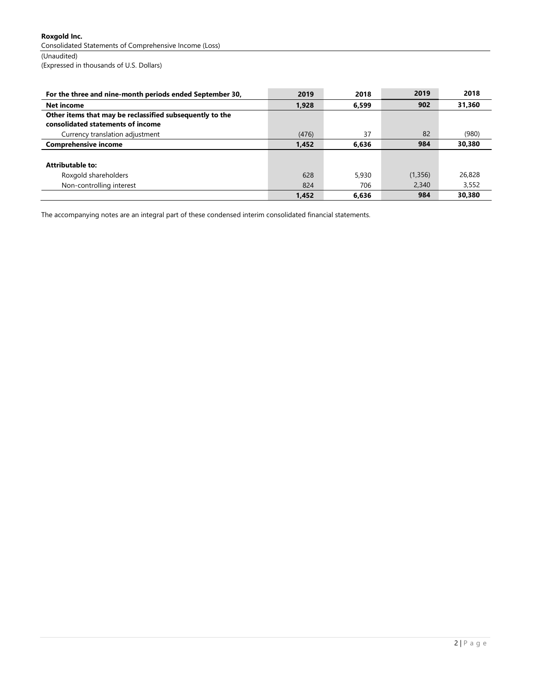Roxgold Inc. Consolidated Statements of Comprehensive Income (Loss) (Unaudited)

(Expressed in thousands of U.S. Dollars)

| For the three and nine-month periods ended September 30,                                      | 2019  | 2018  | 2019    | 2018   |
|-----------------------------------------------------------------------------------------------|-------|-------|---------|--------|
| <b>Net income</b>                                                                             | 1.928 | 6.599 | 902     | 31,360 |
| Other items that may be reclassified subsequently to the<br>consolidated statements of income |       |       |         |        |
| Currency translation adjustment                                                               | (476) | 37    | 82      | (980)  |
| <b>Comprehensive income</b>                                                                   | 1.452 | 6,636 | 984     | 30.380 |
| Attributable to:                                                                              |       |       |         |        |
| Roxgold shareholders                                                                          | 628   | 5.930 | (1,356) | 26,828 |
| Non-controlling interest                                                                      | 824   | 706   | 2.340   | 3,552  |
|                                                                                               | 1,452 | 6.636 | 984     | 30,380 |

The accompanying notes are an integral part of these condensed interim consolidated financial statements.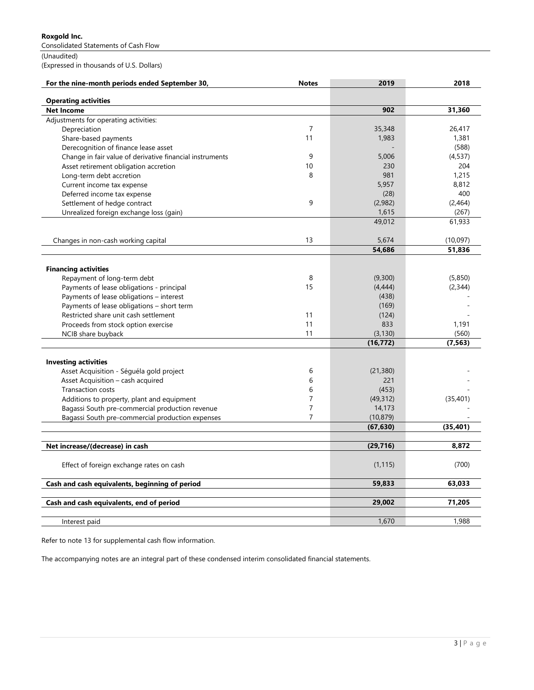## Roxgold Inc.

Consolidated Statements of Cash Flow

(Unaudited) (Expressed in thousands of U.S. Dollars)

| For the nine-month periods ended September 30,           | <b>Notes</b>   | 2019                | 2018      |
|----------------------------------------------------------|----------------|---------------------|-----------|
|                                                          |                |                     |           |
| <b>Operating activities</b>                              |                |                     |           |
| <b>Net Income</b>                                        |                | 902                 | 31,360    |
| Adjustments for operating activities:                    |                |                     |           |
| Depreciation                                             | $\overline{7}$ | 35,348              | 26,417    |
| Share-based payments                                     | 11             | 1,983               | 1,381     |
| Derecognition of finance lease asset                     |                |                     | (588)     |
| Change in fair value of derivative financial instruments | 9              | 5,006               | (4, 537)  |
| Asset retirement obligation accretion                    | 10             | 230                 | 204       |
| Long-term debt accretion                                 | 8              | 981                 | 1,215     |
| Current income tax expense                               |                | 5,957               | 8,812     |
| Deferred income tax expense                              |                | (28)                | 400       |
| Settlement of hedge contract                             | 9              | (2,982)             | (2,464)   |
| Unrealized foreign exchange loss (gain)                  |                | 1,615               | (267)     |
|                                                          |                | 49,012              | 61,933    |
|                                                          |                |                     |           |
| Changes in non-cash working capital                      | 13             | 5,674               | (10,097)  |
|                                                          |                | 54,686              | 51,836    |
|                                                          |                |                     |           |
| <b>Financing activities</b>                              |                |                     |           |
| Repayment of long-term debt                              | 8              | (9,300)             | (5,850)   |
| Payments of lease obligations - principal                | 15             | (4, 444)            | (2, 344)  |
| Payments of lease obligations - interest                 |                | (438)               |           |
| Payments of lease obligations - short term               |                | (169)               |           |
| Restricted share unit cash settlement                    | 11             | (124)               |           |
| Proceeds from stock option exercise                      | 11             | 833                 | 1,191     |
| NCIB share buyback                                       | 11             | (3, 130)            | (560)     |
|                                                          |                | (16, 772)           | (7, 563)  |
| <b>Investing activities</b>                              |                |                     |           |
|                                                          | 6              | (21, 380)           |           |
| Asset Acquisition - Séguéla gold project                 | 6              | 221                 |           |
| Asset Acquisition - cash acquired<br>Transaction costs   | 6              | (453)               |           |
|                                                          | 7              | (49, 312)           | (35, 401) |
| Additions to property, plant and equipment               | $\overline{7}$ |                     |           |
| Bagassi South pre-commercial production revenue          | $\overline{7}$ | 14,173<br>(10, 879) |           |
| Bagassi South pre-commercial production expenses         |                | (67, 630)           | (35, 401) |
|                                                          |                |                     |           |
| Net increase/(decrease) in cash                          |                | (29, 716)           | 8,872     |
|                                                          |                |                     |           |
| Effect of foreign exchange rates on cash                 |                | (1, 115)            | (700)     |
|                                                          |                |                     |           |
| Cash and cash equivalents, beginning of period           |                | 59,833              | 63,033    |
|                                                          |                |                     |           |
| Cash and cash equivalents, end of period                 |                | 29,002              | 71,205    |
| Interest paid                                            |                | 1,670               | 1,988     |
|                                                          |                |                     |           |

Refer to note 13 for supplemental cash flow information.

The accompanying notes are an integral part of these condensed interim consolidated financial statements.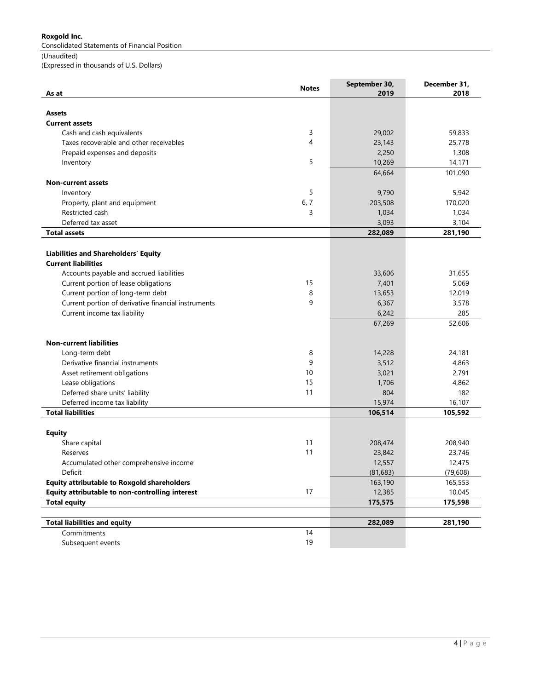#### Roxgold Inc.

Consolidated Statements of Financial Position

## (Unaudited)

(Expressed in thousands of U.S. Dollars)

|                                                     | <b>Notes</b> | September 30, | December 31, |
|-----------------------------------------------------|--------------|---------------|--------------|
| As at                                               |              | 2019          | 2018         |
|                                                     |              |               |              |
| <b>Assets</b>                                       |              |               |              |
| <b>Current assets</b>                               |              |               |              |
| Cash and cash equivalents                           | 3            | 29,002        | 59,833       |
| Taxes recoverable and other receivables             | 4            | 23,143        | 25,778       |
| Prepaid expenses and deposits                       |              | 2,250         | 1,308        |
| Inventory                                           | 5            | 10,269        | 14,171       |
|                                                     |              | 64,664        | 101,090      |
| <b>Non-current assets</b>                           |              |               |              |
| Inventory                                           | 5            | 9,790         | 5,942        |
| Property, plant and equipment                       | 6, 7         | 203,508       | 170,020      |
| Restricted cash                                     | 3            | 1,034         | 1,034        |
| Deferred tax asset                                  |              | 3,093         | 3,104        |
| <b>Total assets</b>                                 |              | 282,089       | 281,190      |
|                                                     |              |               |              |
| Liabilities and Shareholders' Equity                |              |               |              |
| <b>Current liabilities</b>                          |              |               |              |
| Accounts payable and accrued liabilities            |              | 33,606        | 31,655       |
| Current portion of lease obligations                | 15           | 7,401         | 5,069        |
| Current portion of long-term debt                   | 8            | 13,653        | 12,019       |
| Current portion of derivative financial instruments | 9            | 6,367         | 3,578        |
| Current income tax liability                        |              | 6,242         | 285          |
|                                                     |              | 67,269        | 52,606       |
|                                                     |              |               |              |
| <b>Non-current liabilities</b>                      |              |               |              |
| Long-term debt                                      | 8            | 14,228        | 24,181       |
| Derivative financial instruments                    | 9            | 3,512         | 4,863        |
| Asset retirement obligations                        | 10           | 3,021         | 2,791        |
| Lease obligations                                   | 15           | 1,706         | 4,862        |
| Deferred share units' liability                     | 11           | 804           | 182          |
| Deferred income tax liability                       |              | 15,974        | 16,107       |
| <b>Total liabilities</b>                            |              | 106,514       | 105,592      |
|                                                     |              |               |              |
| <b>Equity</b>                                       |              |               |              |
| Share capital                                       | 11           | 208,474       | 208,940      |
| Reserves                                            | 11           | 23,842        | 23,746       |
| Accumulated other comprehensive income              |              | 12,557        | 12,475       |
| Deficit                                             |              | (81, 683)     | (79, 608)    |
| <b>Equity attributable to Roxgold shareholders</b>  |              | 163,190       | 165,553      |
| Equity attributable to non-controlling interest     | 17           | 12,385        | 10,045       |
| <b>Total equity</b>                                 |              | 175,575       | 175,598      |
|                                                     |              |               |              |
| <b>Total liabilities and equity</b>                 |              | 282,089       | 281,190      |
| Commitments                                         | 14           |               |              |
| Subsequent events                                   | 19           |               |              |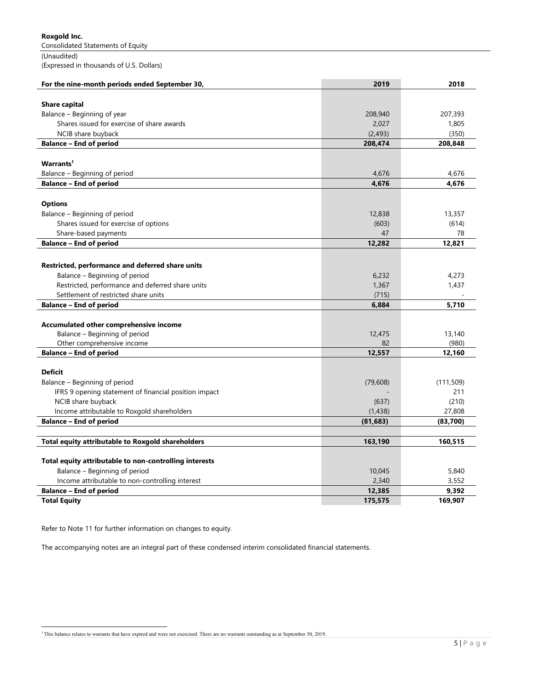| For the nine-month periods ended September 30,         | 2019             | 2018             |
|--------------------------------------------------------|------------------|------------------|
|                                                        |                  |                  |
| <b>Share capital</b><br>Balance - Beginning of year    |                  |                  |
| Shares issued for exercise of share awards             | 208,940<br>2,027 | 207,393<br>1,805 |
| NCIB share buyback                                     | (2, 493)         | (350)            |
| <b>Balance - End of period</b>                         | 208,474          | 208,848          |
|                                                        |                  |                  |
| Warrants <sup>1</sup>                                  |                  |                  |
| Balance - Beginning of period                          | 4,676            | 4,676            |
| <b>Balance - End of period</b>                         | 4,676            | 4,676            |
|                                                        |                  |                  |
| <b>Options</b>                                         |                  |                  |
| Balance - Beginning of period                          | 12,838           | 13,357           |
| Shares issued for exercise of options                  | (603)            | (614)            |
| Share-based payments                                   | 47               | 78               |
| <b>Balance - End of period</b>                         | 12,282           | 12,821           |
|                                                        |                  |                  |
| Restricted, performance and deferred share units       |                  |                  |
| Balance - Beginning of period                          | 6,232            | 4,273            |
| Restricted, performance and deferred share units       | 1,367            | 1,437            |
| Settlement of restricted share units                   | (715)            |                  |
| <b>Balance - End of period</b>                         | 6,884            | 5,710            |
|                                                        |                  |                  |
| Accumulated other comprehensive income                 |                  |                  |
| Balance - Beginning of period                          | 12,475           | 13,140           |
| Other comprehensive income                             | 82               | (980)            |
| <b>Balance - End of period</b>                         | 12,557           | 12,160           |
|                                                        |                  |                  |
| <b>Deficit</b>                                         |                  |                  |
| Balance - Beginning of period                          | (79, 608)        | (111, 509)       |
| IFRS 9 opening statement of financial position impact  |                  | 211              |
| NCIB share buyback                                     | (637)            | (210)            |
| Income attributable to Roxgold shareholders            | (1,438)          | 27,808           |
| <b>Balance - End of period</b>                         | (81, 683)        | (83,700)         |
| Total equity attributable to Roxgold shareholders      | 163,190          | 160,515          |
|                                                        |                  |                  |
| Total equity attributable to non-controlling interests |                  |                  |
| Balance - Beginning of period                          | 10,045           | 5,840            |
| Income attributable to non-controlling interest        | 2,340            | 3,552            |
| <b>Balance - End of period</b>                         | 12,385           | 9,392            |
| <b>Total Equity</b>                                    | 175,575          | 169,907          |

Refer to Note 11 for further information on changes to equity.

The accompanying notes are an integral part of these condensed interim consolidated financial statements.

<sup>&</sup>lt;sup>1</sup> This balance relates to warrants that have expired and were not exercised. There are no warrants outstanding as at September 30, 2019.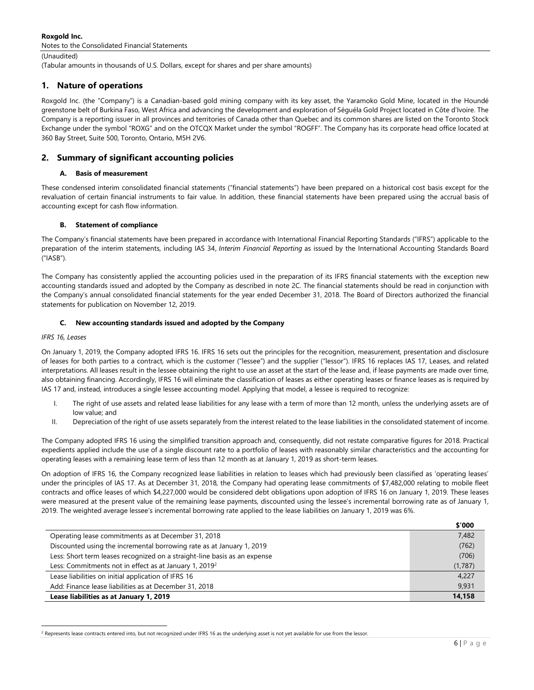(Tabular amounts in thousands of U.S. Dollars, except for shares and per share amounts)

#### 1. Nature of operations

Roxgold Inc. (the "Company") is a Canadian-based gold mining company with its key asset, the Yaramoko Gold Mine, located in the Houndé greenstone belt of Burkina Faso, West Africa and advancing the development and exploration of Séguéla Gold Project located in Côte d'Ivoire. The Company is a reporting issuer in all provinces and territories of Canada other than Quebec and its common shares are listed on the Toronto Stock Exchange under the symbol "ROXG" and on the OTCQX Market under the symbol "ROGFF". The Company has its corporate head office located at 360 Bay Street, Suite 500, Toronto, Ontario, M5H 2V6.

## 2. Summary of significant accounting policies

#### A. Basis of measurement

These condensed interim consolidated financial statements ("financial statements") have been prepared on a historical cost basis except for the revaluation of certain financial instruments to fair value. In addition, these financial statements have been prepared using the accrual basis of accounting except for cash flow information.

#### B. Statement of compliance

The Company's financial statements have been prepared in accordance with International Financial Reporting Standards ("IFRS") applicable to the preparation of the interim statements, including IAS 34, Interim Financial Reporting as issued by the International Accounting Standards Board ("IASB").

The Company has consistently applied the accounting policies used in the preparation of its IFRS financial statements with the exception new accounting standards issued and adopted by the Company as described in note 2C. The financial statements should be read in conjunction with the Company's annual consolidated financial statements for the year ended December 31, 2018. The Board of Directors authorized the financial statements for publication on November 12, 2019.

#### C. New accounting standards issued and adopted by the Company

#### IFRS 16, Leases

On January 1, 2019, the Company adopted IFRS 16. IFRS 16 sets out the principles for the recognition, measurement, presentation and disclosure of leases for both parties to a contract, which is the customer ("lessee") and the supplier ("lessor"). IFRS 16 replaces IAS 17, Leases, and related interpretations. All leases result in the lessee obtaining the right to use an asset at the start of the lease and, if lease payments are made over time, also obtaining financing. Accordingly, IFRS 16 will eliminate the classification of leases as either operating leases or finance leases as is required by IAS 17 and, instead, introduces a single lessee accounting model. Applying that model, a lessee is required to recognize:

- I. The right of use assets and related lease liabilities for any lease with a term of more than 12 month, unless the underlying assets are of low value; and
- II. Depreciation of the right of use assets separately from the interest related to the lease liabilities in the consolidated statement of income.

The Company adopted IFRS 16 using the simplified transition approach and, consequently, did not restate comparative figures for 2018. Practical expedients applied include the use of a single discount rate to a portfolio of leases with reasonably similar characteristics and the accounting for operating leases with a remaining lease term of less than 12 month as at January 1, 2019 as short-term leases.

On adoption of IFRS 16, the Company recognized lease liabilities in relation to leases which had previously been classified as 'operating leases' under the principles of IAS 17. As at December 31, 2018, the Company had operating lease commitments of \$7,482,000 relating to mobile fleet contracts and office leases of which \$4,227,000 would be considered debt obligations upon adoption of IFRS 16 on January 1, 2019. These leases were measured at the present value of the remaining lease payments, discounted using the lessee's incremental borrowing rate as of January 1, 2019. The weighted average lessee's incremental borrowing rate applied to the lease liabilities on January 1, 2019 was 6%.

|                                                                           | \$'000  |
|---------------------------------------------------------------------------|---------|
| Operating lease commitments as at December 31, 2018                       | 7,482   |
| Discounted using the incremental borrowing rate as at January 1, 2019     | (762)   |
| Less: Short term leases recognized on a straight-line basis as an expense | (706)   |
| Less: Commitments not in effect as at January 1, 2019 <sup>2</sup>        | (1,787) |
| Lease liabilities on initial application of IFRS 16                       | 4,227   |
| Add: Finance lease liabilities as at December 31, 2018                    | 9,931   |
| Lease liabilities as at January 1, 2019                                   | 14,158  |

<sup>&</sup>lt;sup>2</sup> Represents lease contracts entered into, but not recognized under IFRS 16 as the underlying asset is not yet available for use from the lessor.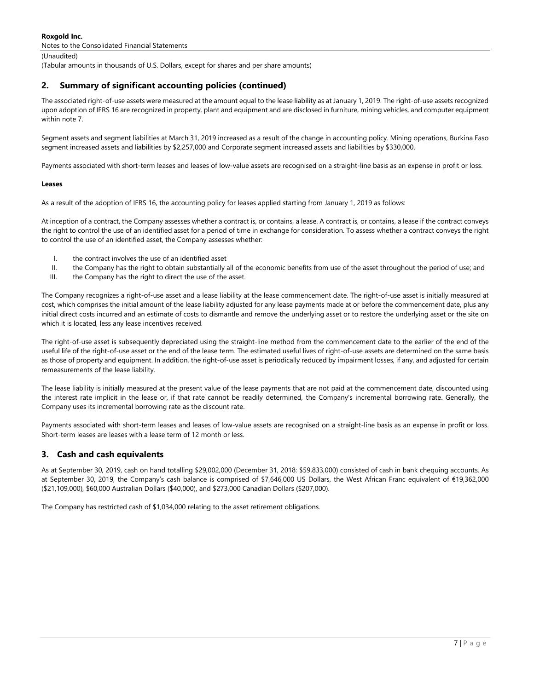(Tabular amounts in thousands of U.S. Dollars, except for shares and per share amounts)

## 2. Summary of significant accounting policies (continued)

The associated right-of-use assets were measured at the amount equal to the lease liability as at January 1, 2019. The right-of-use assets recognized upon adoption of IFRS 16 are recognized in property, plant and equipment and are disclosed in furniture, mining vehicles, and computer equipment within note 7.

Segment assets and segment liabilities at March 31, 2019 increased as a result of the change in accounting policy. Mining operations, Burkina Faso segment increased assets and liabilities by \$2,257,000 and Corporate segment increased assets and liabilities by \$330,000.

Payments associated with short-term leases and leases of low-value assets are recognised on a straight-line basis as an expense in profit or loss.

#### Leases

As a result of the adoption of IFRS 16, the accounting policy for leases applied starting from January 1, 2019 as follows:

At inception of a contract, the Company assesses whether a contract is, or contains, a lease. A contract is, or contains, a lease if the contract conveys the right to control the use of an identified asset for a period of time in exchange for consideration. To assess whether a contract conveys the right to control the use of an identified asset, the Company assesses whether:

- I. the contract involves the use of an identified asset
- II. the Company has the right to obtain substantially all of the economic benefits from use of the asset throughout the period of use; and
- III. the Company has the right to direct the use of the asset.

The Company recognizes a right-of-use asset and a lease liability at the lease commencement date. The right-of-use asset is initially measured at cost, which comprises the initial amount of the lease liability adjusted for any lease payments made at or before the commencement date, plus any initial direct costs incurred and an estimate of costs to dismantle and remove the underlying asset or to restore the underlying asset or the site on which it is located, less any lease incentives received.

The right-of-use asset is subsequently depreciated using the straight-line method from the commencement date to the earlier of the end of the useful life of the right-of-use asset or the end of the lease term. The estimated useful lives of right-of-use assets are determined on the same basis as those of property and equipment. In addition, the right-of-use asset is periodically reduced by impairment losses, if any, and adjusted for certain remeasurements of the lease liability.

The lease liability is initially measured at the present value of the lease payments that are not paid at the commencement date, discounted using the interest rate implicit in the lease or, if that rate cannot be readily determined, the Company's incremental borrowing rate. Generally, the Company uses its incremental borrowing rate as the discount rate.

Payments associated with short-term leases and leases of low-value assets are recognised on a straight-line basis as an expense in profit or loss. Short-term leases are leases with a lease term of 12 month or less.

#### 3. Cash and cash equivalents

As at September 30, 2019, cash on hand totalling \$29,002,000 (December 31, 2018: \$59,833,000) consisted of cash in bank chequing accounts. As at September 30, 2019, the Company's cash balance is comprised of \$7,646,000 US Dollars, the West African Franc equivalent of €19,362,000 (\$21,109,000), \$60,000 Australian Dollars (\$40,000), and \$273,000 Canadian Dollars (\$207,000).

The Company has restricted cash of \$1,034,000 relating to the asset retirement obligations.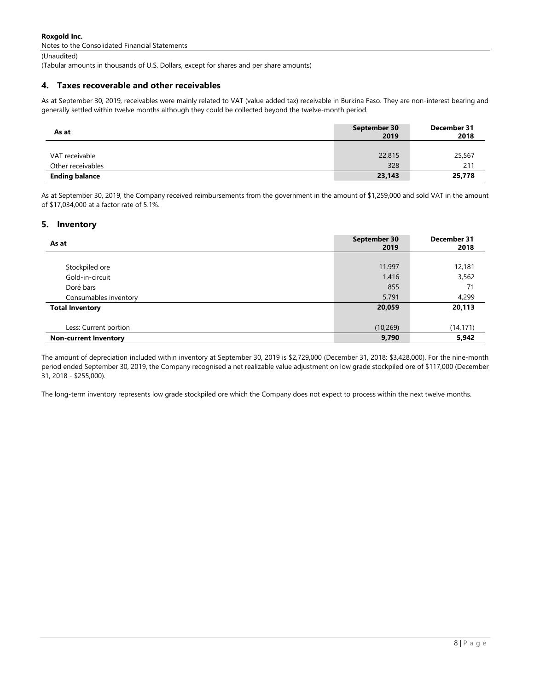(Tabular amounts in thousands of U.S. Dollars, except for shares and per share amounts)

## 4. Taxes recoverable and other receivables

As at September 30, 2019, receivables were mainly related to VAT (value added tax) receivable in Burkina Faso. They are non-interest bearing and generally settled within twelve months although they could be collected beyond the twelve-month period.

| As at                 | September 30<br>2019 | December 31<br>2018 |
|-----------------------|----------------------|---------------------|
|                       |                      |                     |
| VAT receivable        | 22,815               | 25,567              |
| Other receivables     | 328                  | 211                 |
| <b>Ending balance</b> | 23,143               | 25,778              |

As at September 30, 2019, the Company received reimbursements from the government in the amount of \$1,259,000 and sold VAT in the amount of \$17,034,000 at a factor rate of 5.1%.

## 5. Inventory

| As at                        | September 30<br>2019 | December 31<br>2018 |
|------------------------------|----------------------|---------------------|
|                              |                      |                     |
| Stockpiled ore               | 11,997               | 12,181              |
| Gold-in-circuit              | 1,416                | 3,562               |
| Doré bars                    | 855                  | 71                  |
| Consumables inventory        | 5,791                | 4,299               |
| <b>Total Inventory</b>       | 20,059               | 20,113              |
| Less: Current portion        | (10, 269)            | (14, 171)           |
| <b>Non-current Inventory</b> | 9,790                | 5,942               |

The amount of depreciation included within inventory at September 30, 2019 is \$2,729,000 (December 31, 2018: \$3,428,000). For the nine-month period ended September 30, 2019, the Company recognised a net realizable value adjustment on low grade stockpiled ore of \$117,000 (December 31, 2018 - \$255,000).

The long-term inventory represents low grade stockpiled ore which the Company does not expect to process within the next twelve months.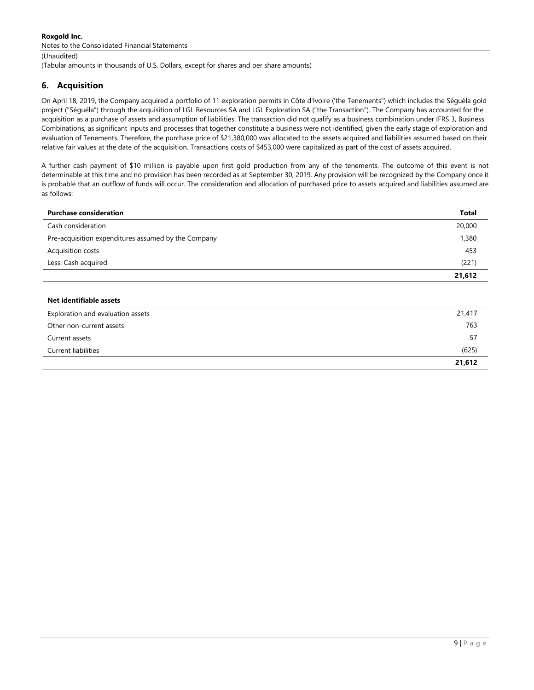## 6. Acquisition

On April 18, 2019, the Company acquired a portfolio of 11 exploration permits in Côte d'Ivoire ('the Tenements") which includes the Séguéla gold project ("Séguéla") through the acquisition of LGL Resources SA and LGL Exploration SA ("the Transaction"). The Company has accounted for the acquisition as a purchase of assets and assumption of liabilities. The transaction did not qualify as a business combination under IFRS 3, Business Combinations, as significant inputs and processes that together constitute a business were not identified, given the early stage of exploration and evaluation of Tenements. Therefore, the purchase price of \$21,380,000 was allocated to the assets acquired and liabilities assumed based on their relative fair values at the date of the acquisition. Transactions costs of \$453,000 were capitalized as part of the cost of assets acquired.

A further cash payment of \$10 million is payable upon first gold production from any of the tenements. The outcome of this event is not determinable at this time and no provision has been recorded as at September 30, 2019. Any provision will be recognized by the Company once it is probable that an outflow of funds will occur. The consideration and allocation of purchased price to assets acquired and liabilities assumed are as follows:

| <b>Purchase consideration</b>                       | <b>Total</b> |
|-----------------------------------------------------|--------------|
| Cash consideration                                  | 20,000       |
| Pre-acquisition expenditures assumed by the Company | 1,380        |
| Acquisition costs                                   | 453          |
| Less: Cash acquired                                 | (221)        |
|                                                     | 21,612       |

# Net identifiable assets

|                                   | 21,612 |
|-----------------------------------|--------|
| Current liabilities               | (625)  |
| Current assets                    | 57     |
| Other non-current assets          | 763    |
| Exploration and evaluation assets | 21,417 |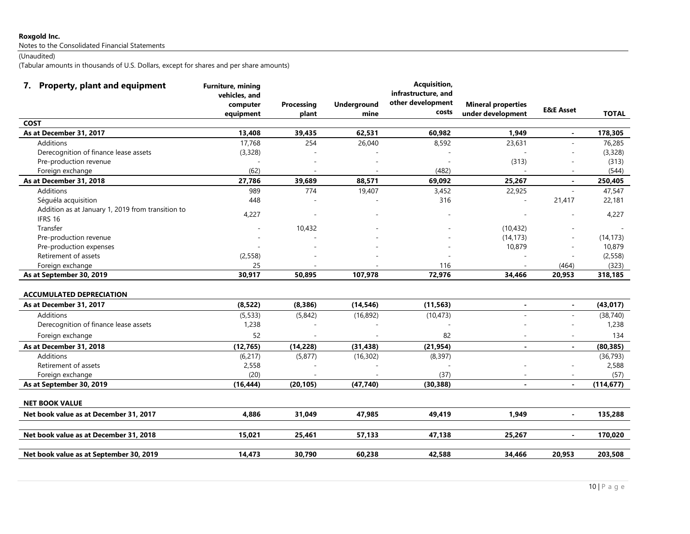## Roxgold Inc.

Notes to the Consolidated Financial Statements

## (Unaudited)

(Tabular amounts in thousands of U.S. Dollars, except for shares and per share amounts)

| Property, plant and equipment<br>7.               | <b>Furniture, mining</b><br>vehicles, and<br>computer<br>equipment | Processing<br>plant | <b>Underground</b><br>mine | Acquisition,<br>infrastructure, and<br>other development<br>costs | <b>Mineral properties</b><br>under development | <b>E&amp;E Asset</b>     | <b>TOTAL</b> |
|---------------------------------------------------|--------------------------------------------------------------------|---------------------|----------------------------|-------------------------------------------------------------------|------------------------------------------------|--------------------------|--------------|
| <b>COST</b>                                       |                                                                    |                     |                            |                                                                   |                                                |                          |              |
| As at December 31, 2017                           | 13,408                                                             | 39,435              | 62,531                     | 60,982                                                            | 1,949                                          | $\blacksquare$           | 178,305      |
| <b>Additions</b>                                  | 17,768                                                             | 254                 | 26,040                     | 8,592                                                             | 23,631                                         |                          | 76,285       |
| Derecognition of finance lease assets             | (3,328)                                                            |                     |                            |                                                                   |                                                |                          | (3,328)      |
| Pre-production revenue                            |                                                                    |                     |                            |                                                                   | (313)                                          |                          | (313)        |
| Foreign exchange                                  | (62)                                                               | $\sim$              |                            | (482)                                                             |                                                |                          | (544)        |
| As at December 31, 2018                           | 27,786                                                             | 39,689              | 88,571                     | 69,092                                                            | 25,267                                         | $\blacksquare$           | 250,405      |
| <b>Additions</b>                                  | 989                                                                | 774                 | 19,407                     | 3,452                                                             | 22,925                                         | L.                       | 47,547       |
| Séquéla acquisition                               | 448                                                                |                     |                            | 316                                                               |                                                | 21,417                   | 22,181       |
| Addition as at January 1, 2019 from transition to | 4,227                                                              |                     |                            |                                                                   |                                                |                          | 4,227        |
| IFRS 16                                           |                                                                    |                     |                            |                                                                   |                                                |                          |              |
| Transfer                                          |                                                                    | 10,432              |                            |                                                                   | (10, 432)                                      |                          |              |
| Pre-production revenue                            |                                                                    |                     |                            |                                                                   | (14, 173)                                      | ä,                       | (14, 173)    |
| Pre-production expenses                           |                                                                    |                     |                            |                                                                   | 10,879                                         | $\overline{\phantom{a}}$ | 10,879       |
| Retirement of assets                              | (2, 558)                                                           |                     |                            |                                                                   |                                                |                          | (2, 558)     |
| Foreign exchange                                  | 25                                                                 |                     |                            | 116                                                               |                                                | (464)                    | (323)        |
| As at September 30, 2019                          | 30,917                                                             | 50,895              | 107,978                    | 72,976                                                            | 34,466                                         | 20,953                   | 318,185      |
| <b>ACCUMULATED DEPRECIATION</b>                   |                                                                    |                     |                            |                                                                   |                                                |                          |              |
| As at December 31, 2017                           | (8, 522)                                                           | (8, 386)            | (14, 546)                  | (11, 563)                                                         | $\blacksquare$                                 | $\sim$                   | (43, 017)    |
| Additions                                         | (5, 533)                                                           | (5,842)             | (16, 892)                  | (10, 473)                                                         |                                                | ÷.                       | (38, 740)    |
| Derecognition of finance lease assets             | 1,238                                                              |                     |                            |                                                                   |                                                | ÷,                       | 1,238        |
| Foreign exchange                                  | 52                                                                 |                     |                            | 82                                                                |                                                |                          | 134          |
| As at December 31, 2018                           | (12, 765)                                                          | (14, 228)           | (31, 438)                  | (21, 954)                                                         |                                                | $\blacksquare$           | (80, 385)    |
| Additions                                         | (6, 217)                                                           | (5, 877)            | (16, 302)                  | (8, 397)                                                          |                                                |                          | (36, 793)    |
| Retirement of assets                              | 2,558                                                              |                     |                            |                                                                   |                                                | ä,                       | 2,588        |
| Foreign exchange                                  | (20)                                                               |                     |                            | (37)                                                              |                                                |                          | (57)         |
| As at September 30, 2019                          | (16, 444)                                                          | (20, 105)           | (47, 740)                  | (30, 388)                                                         |                                                | $\blacksquare$           | (114, 677)   |
|                                                   |                                                                    |                     |                            |                                                                   |                                                |                          |              |
| <b>NET BOOK VALUE</b>                             |                                                                    |                     |                            |                                                                   |                                                |                          |              |
| Net book value as at December 31, 2017            | 4,886                                                              | 31,049              | 47,985                     | 49,419                                                            | 1,949                                          | $\blacksquare$           | 135,288      |
|                                                   |                                                                    |                     |                            |                                                                   |                                                |                          |              |
| Net book value as at December 31, 2018            | 15,021                                                             | 25,461              | 57,133                     | 47,138                                                            | 25,267                                         |                          | 170,020      |
| Net book value as at September 30, 2019           | 14,473                                                             | 30,790              | 60,238                     | 42,588                                                            | 34,466                                         | 20,953                   | 203,508      |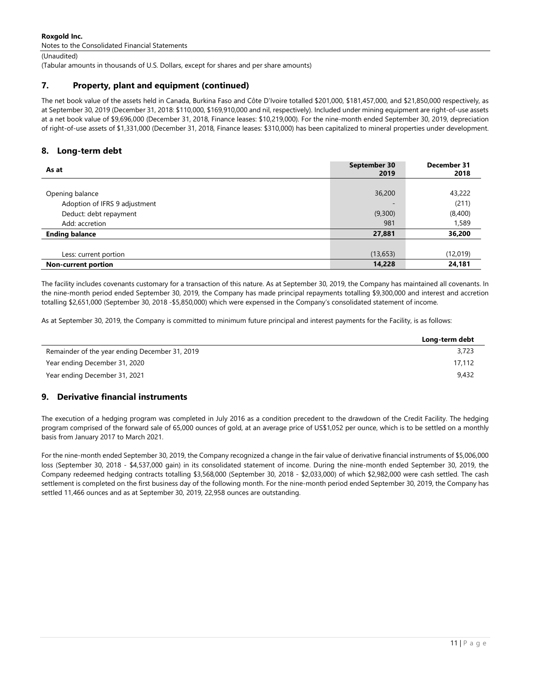## Roxgold Inc. Notes to the Consolidated Financial Statements

(Unaudited)

(Tabular amounts in thousands of U.S. Dollars, except for shares and per share amounts)

## 7. Property, plant and equipment (continued)

The net book value of the assets held in Canada, Burkina Faso and Côte D'Ivoire totalled \$201,000, \$181,457,000, and \$21,850,000 respectively, as at September 30, 2019 (December 31, 2018: \$110,000, \$169,910,000 and nil, respectively). Included under mining equipment are right-of-use assets at a net book value of \$9,696,000 (December 31, 2018, Finance leases: \$10,219,000). For the nine-month ended September 30, 2019, depreciation of right-of-use assets of \$1,331,000 (December 31, 2018, Finance leases: \$310,000) has been capitalized to mineral properties under development.

## 8. Long-term debt

| As at                         | September 30<br>2019 | December 31<br>2018 |
|-------------------------------|----------------------|---------------------|
|                               |                      |                     |
| Opening balance               | 36,200               | 43,222              |
| Adoption of IFRS 9 adjustment | $\overline{a}$       | (211)               |
| Deduct: debt repayment        | (9,300)              | (8,400)             |
| Add: accretion                | 981                  | 1,589               |
| <b>Ending balance</b>         | 27,881               | 36,200              |
|                               |                      |                     |
| Less: current portion         | (13, 653)            | (12,019)            |
| <b>Non-current portion</b>    | 14,228               | 24,181              |

The facility includes covenants customary for a transaction of this nature. As at September 30, 2019, the Company has maintained all covenants. In the nine-month period ended September 30, 2019, the Company has made principal repayments totalling \$9,300,000 and interest and accretion totalling \$2,651,000 (September 30, 2018 -\$5,850,000) which were expensed in the Company's consolidated statement of income.

As at September 30, 2019, the Company is committed to minimum future principal and interest payments for the Facility, is as follows:

|                                                | Long-term debt |
|------------------------------------------------|----------------|
| Remainder of the year ending December 31, 2019 | 3,723          |
| Year ending December 31, 2020                  | 17.112         |
| Year ending December 31, 2021                  | 9.432          |

## 9. Derivative financial instruments

The execution of a hedging program was completed in July 2016 as a condition precedent to the drawdown of the Credit Facility. The hedging program comprised of the forward sale of 65,000 ounces of gold, at an average price of US\$1,052 per ounce, which is to be settled on a monthly basis from January 2017 to March 2021.

For the nine-month ended September 30, 2019, the Company recognized a change in the fair value of derivative financial instruments of \$5,006,000 loss (September 30, 2018 - \$4,537,000 gain) in its consolidated statement of income. During the nine-month ended September 30, 2019, the Company redeemed hedging contracts totalling \$3,568,000 (September 30, 2018 - \$2,033,000) of which \$2,982,000 were cash settled. The cash settlement is completed on the first business day of the following month. For the nine-month period ended September 30, 2019, the Company has settled 11,466 ounces and as at September 30, 2019, 22,958 ounces are outstanding.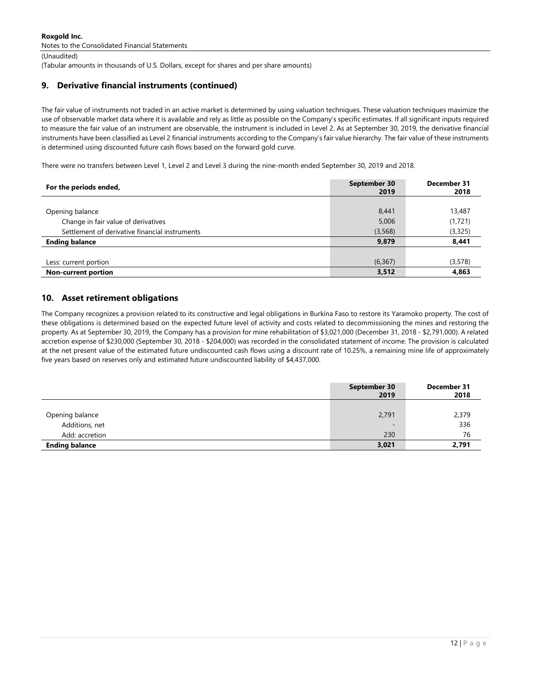(Tabular amounts in thousands of U.S. Dollars, except for shares and per share amounts)

## 9. Derivative financial instruments (continued)

The fair value of instruments not traded in an active market is determined by using valuation techniques. These valuation techniques maximize the use of observable market data where it is available and rely as little as possible on the Company's specific estimates. If all significant inputs required to measure the fair value of an instrument are observable, the instrument is included in Level 2. As at September 30, 2019, the derivative financial instruments have been classified as Level 2 financial instruments according to the Company's fair value hierarchy. The fair value of these instruments is determined using discounted future cash flows based on the forward gold curve.

There were no transfers between Level 1, Level 2 and Level 3 during the nine-month ended September 30, 2019 and 2018.

| For the periods ended,                         | September 30<br>2019 | December 31<br>2018 |
|------------------------------------------------|----------------------|---------------------|
|                                                |                      |                     |
| Opening balance                                | 8,441                | 13,487              |
| Change in fair value of derivatives            | 5,006                | (1,721)             |
| Settlement of derivative financial instruments | (3,568)              | (3,325)             |
| <b>Ending balance</b>                          | 9,879                | 8,441               |
|                                                |                      |                     |
| Less: current portion                          | (6, 367)             | (3,578)             |
| <b>Non-current portion</b>                     | 3,512                | 4,863               |

## 10. Asset retirement obligations

The Company recognizes a provision related to its constructive and legal obligations in Burkina Faso to restore its Yaramoko property. The cost of these obligations is determined based on the expected future level of activity and costs related to decommissioning the mines and restoring the property. As at September 30, 2019, the Company has a provision for mine rehabilitation of \$3,021,000 (December 31, 2018 - \$2,791,000). A related accretion expense of \$230,000 (September 30, 2018 - \$204,000) was recorded in the consolidated statement of income. The provision is calculated at the net present value of the estimated future undiscounted cash flows using a discount rate of 10.25%, a remaining mine life of approximately five years based on reserves only and estimated future undiscounted liability of \$4,437,000.

|                       | September 30<br>2019     | December 31<br>2018 |
|-----------------------|--------------------------|---------------------|
|                       |                          |                     |
| Opening balance       | 2,791                    | 2,379               |
| Additions, net        | $\overline{\phantom{a}}$ | 336                 |
| Add: accretion        | 230                      | 76                  |
| <b>Ending balance</b> | 3,021                    | 2,791               |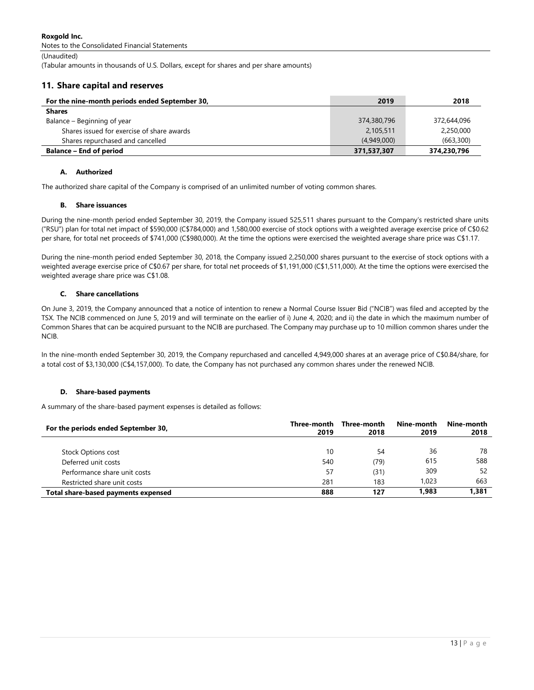(Tabular amounts in thousands of U.S. Dollars, except for shares and per share amounts)

#### 11. Share capital and reserves

| For the nine-month periods ended September 30, | 2019        | 2018        |
|------------------------------------------------|-------------|-------------|
| <b>Shares</b>                                  |             |             |
| Balance – Beginning of year                    | 374,380,796 | 372,644,096 |
| Shares issued for exercise of share awards     | 2.105.511   | 2,250,000   |
| Shares repurchased and cancelled               | (4,949,000) | (663, 300)  |
| <b>Balance – End of period</b>                 | 371,537,307 | 374,230,796 |

#### A. Authorized

The authorized share capital of the Company is comprised of an unlimited number of voting common shares.

#### B. Share issuances

During the nine-month period ended September 30, 2019, the Company issued 525,511 shares pursuant to the Company's restricted share units ("RSU") plan for total net impact of \$590,000 (C\$784,000) and 1,580,000 exercise of stock options with a weighted average exercise price of C\$0.62 per share, for total net proceeds of \$741,000 (C\$980,000). At the time the options were exercised the weighted average share price was C\$1.17.

During the nine-month period ended September 30, 2018, the Company issued 2,250,000 shares pursuant to the exercise of stock options with a weighted average exercise price of C\$0.67 per share, for total net proceeds of \$1,191,000 (C\$1,511,000). At the time the options were exercised the weighted average share price was C\$1.08.

#### C. Share cancellations

On June 3, 2019, the Company announced that a notice of intention to renew a Normal Course Issuer Bid ("NCIB") was filed and accepted by the TSX. The NCIB commenced on June 5, 2019 and will terminate on the earlier of i) June 4, 2020; and ii) the date in which the maximum number of Common Shares that can be acquired pursuant to the NCIB are purchased. The Company may purchase up to 10 million common shares under the NCIB.

In the nine-month ended September 30, 2019, the Company repurchased and cancelled 4,949,000 shares at an average price of C\$0.84/share, for a total cost of \$3,130,000 (C\$4,157,000). To date, the Company has not purchased any common shares under the renewed NCIB.

#### D. Share-based payments

A summary of the share-based payment expenses is detailed as follows:

| For the periods ended September 30, | Three-month<br>2019 | Three-month<br>2018 | Nine-month<br>2019 | Nine-month<br>2018 |
|-------------------------------------|---------------------|---------------------|--------------------|--------------------|
| Stock Options cost                  | 10                  | 54                  | 36                 | 78                 |
| Deferred unit costs                 | 540                 | (79)                | 615                | 588                |
| Performance share unit costs        | 57                  | (31)                | 309                | 52                 |
| Restricted share unit costs         | 281                 | 183                 | 1.023              | 663                |
| Total share-based payments expensed | 888                 | 127                 | 1.983              | 1,381              |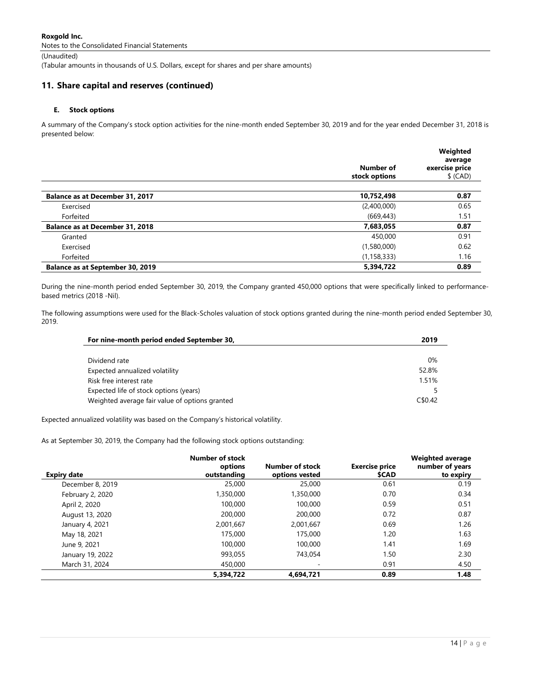(Tabular amounts in thousands of U.S. Dollars, except for shares and per share amounts)

## 11. Share capital and reserves (continued)

#### E. Stock options

A summary of the Company's stock option activities for the nine-month ended September 30, 2019 and for the year ended December 31, 2018 is presented below:

|                                         |                            | Weighted                               |
|-----------------------------------------|----------------------------|----------------------------------------|
|                                         | Number of<br>stock options | average<br>exercise price<br>$$$ (CAD) |
| <b>Balance as at December 31, 2017</b>  | 10,752,498                 | 0.87                                   |
| Exercised                               | (2,400,000)                | 0.65                                   |
| Forfeited                               | (669, 443)                 | 1.51                                   |
| <b>Balance as at December 31, 2018</b>  | 7,683,055                  | 0.87                                   |
| Granted                                 | 450,000                    | 0.91                                   |
| Exercised                               | (1,580,000)                | 0.62                                   |
| Forfeited                               | (1, 158, 333)              | 1.16                                   |
| <b>Balance as at September 30, 2019</b> | 5,394,722                  | 0.89                                   |

During the nine-month period ended September 30, 2019, the Company granted 450,000 options that were specifically linked to performancebased metrics (2018 -Nil).

The following assumptions were used for the Black-Scholes valuation of stock options granted during the nine-month period ended September 30, 2019.

| For nine-month period ended September 30,      | 2019    |
|------------------------------------------------|---------|
|                                                |         |
| Dividend rate                                  | 0%      |
| Expected annualized volatility                 | 52.8%   |
| Risk free interest rate                        | 1.51%   |
| Expected life of stock options (years)         |         |
| Weighted average fair value of options granted | C\$0.42 |

Expected annualized volatility was based on the Company's historical volatility.

As at September 30, 2019, the Company had the following stock options outstanding:

| <b>Expiry date</b> | Number of stock<br>options<br>outstanding | Number of stock<br>options vested | <b>Exercise price</b><br>\$CAD | <b>Weighted average</b><br>number of years<br>to expiry |
|--------------------|-------------------------------------------|-----------------------------------|--------------------------------|---------------------------------------------------------|
| December 8, 2019   | 25,000                                    | 25,000                            | 0.61                           | 0.19                                                    |
| February 2, 2020   | 1,350,000                                 | 1,350,000                         | 0.70                           | 0.34                                                    |
| April 2, 2020      | 100,000                                   | 100,000                           | 0.59                           | 0.51                                                    |
| August 13, 2020    | 200,000                                   | 200,000                           | 0.72                           | 0.87                                                    |
| January 4, 2021    | 2,001,667                                 | 2,001,667                         | 0.69                           | 1.26                                                    |
| May 18, 2021       | 175,000                                   | 175,000                           | 1.20                           | 1.63                                                    |
| June 9, 2021       | 100,000                                   | 100,000                           | 1.41                           | 1.69                                                    |
| January 19, 2022   | 993,055                                   | 743.054                           | 1.50                           | 2.30                                                    |
| March 31, 2024     | 450,000                                   | ٠                                 | 0.91                           | 4.50                                                    |
|                    | 5,394,722                                 | 4,694,721                         | 0.89                           | 1.48                                                    |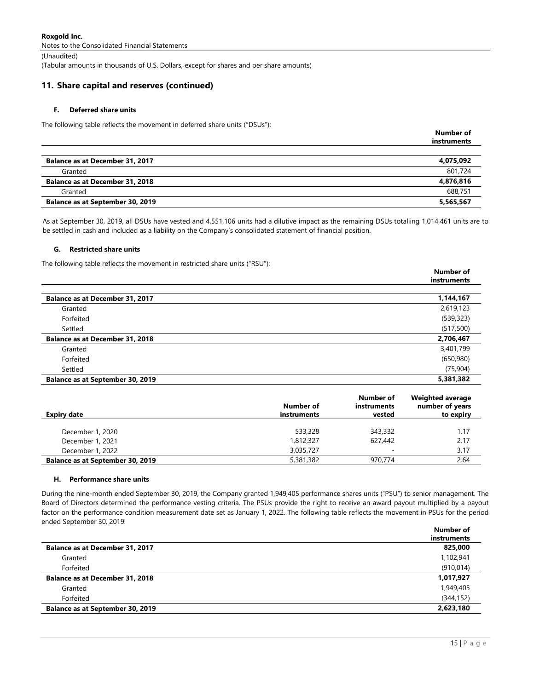(Tabular amounts in thousands of U.S. Dollars, except for shares and per share amounts)

## 11. Share capital and reserves (continued)

#### F. Deferred share units

The following table reflects the movement in deferred share units ("DSUs"):

|                                         | instruments |
|-----------------------------------------|-------------|
|                                         |             |
| <b>Balance as at December 31, 2017</b>  | 4,075,092   |
| Granted                                 | 801.724     |
| <b>Balance as at December 31, 2018</b>  | 4,876,816   |
| Granted                                 | 688.751     |
| <b>Balance as at September 30, 2019</b> | 5,565,567   |

As at September 30, 2019, all DSUs have vested and 4,551,106 units had a dilutive impact as the remaining DSUs totalling 1,014,461 units are to be settled in cash and included as a liability on the Company's consolidated statement of financial position.

#### G. Restricted share units

The following table reflects the movement in restricted share units ("RSU"):

| The rond ming table reneels the movement in restricted share annual ribo. It | Number of<br>instruments |
|------------------------------------------------------------------------------|--------------------------|
| <b>Balance as at December 31, 2017</b>                                       | 1,144,167                |
| Granted                                                                      | 2,619,123                |
| Forfeited                                                                    | (539, 323)               |
| Settled                                                                      | (517,500)                |
| <b>Balance as at December 31, 2018</b>                                       | 2,706,467                |
| Granted                                                                      | 3,401,799                |
| Forfeited                                                                    | (650, 980)               |
| Settled                                                                      | (75, 904)                |
| <b>Balance as at September 30, 2019</b>                                      | 5,381,382                |

| <b>Expiry date</b>                      | Number of<br><i>instruments</i> | Number of<br>instruments<br>vested | <b>Weighted average</b><br>number of years<br>to expiry |
|-----------------------------------------|---------------------------------|------------------------------------|---------------------------------------------------------|
| December 1, 2020                        | 533,328                         | 343,332                            | 1.17                                                    |
| December 1, 2021                        | 1,812,327                       | 627,442                            | 2.17                                                    |
| December 1, 2022                        | 3,035,727                       |                                    | 3.17                                                    |
| <b>Balance as at September 30, 2019</b> | 5,381,382                       | 970.774                            | 2.64                                                    |

#### H. Performance share units

During the nine-month ended September 30, 2019, the Company granted 1,949,405 performance shares units ("PSU") to senior management. The Board of Directors determined the performance vesting criteria. The PSUs provide the right to receive an award payout multiplied by a payout factor on the performance condition measurement date set as January 1, 2022. The following table reflects the movement in PSUs for the period ended September 30, 2019:

| Number of          |
|--------------------|
| <i>instruments</i> |
| 825,000            |
| 1,102,941          |
| (910, 014)         |
| 1,017,927          |
| 1,949,405          |
| (344, 152)         |
| 2,623,180          |
|                    |

Number of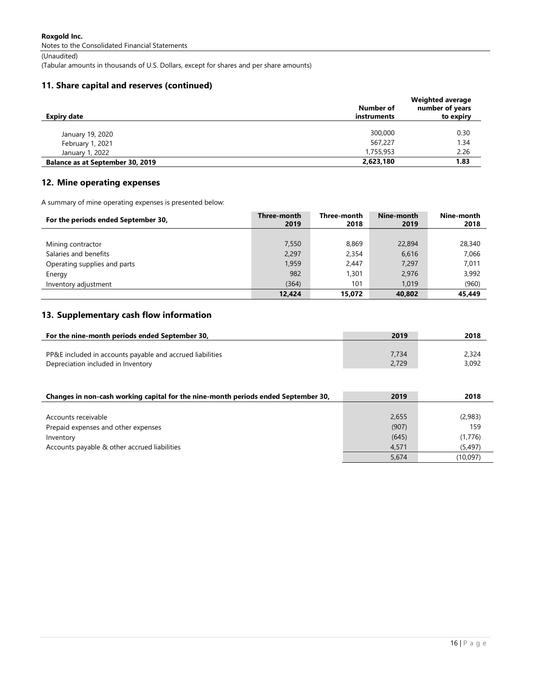## 11. Share capital and reserves (continued)

| Expiry date                             | <b>Weighted average</b><br>Number of<br>number of years<br>instruments |      |  |
|-----------------------------------------|------------------------------------------------------------------------|------|--|
| January 19, 2020                        | 300,000                                                                | 0.30 |  |
| February 1, 2021                        | 567,227                                                                | 1.34 |  |
| January 1, 2022                         | 1,755,953                                                              | 2.26 |  |
| <b>Balance as at September 30, 2019</b> | 2,623,180                                                              | 1.83 |  |

## 12. Mine operating expenses

A summary of mine operating expenses is presented below:

| For the periods ended September 30, | Three-month<br>2019 | Three-month<br>2018 | Nine-month<br>2019 | Nine-month<br>2018 |
|-------------------------------------|---------------------|---------------------|--------------------|--------------------|
|                                     |                     |                     |                    |                    |
| Mining contractor                   | 7,550               | 8,869               | 22,894             | 28,340             |
| Salaries and benefits               | 2,297               | 2,354               | 6,616              | 7,066              |
| Operating supplies and parts        | 1,959               | 2.447               | 7.297              | 7,011              |
| Energy                              | 982                 | 1,301               | 2.976              | 3,992              |
| Inventory adjustment                | (364)               | 101                 | 1.019              | (960)              |
|                                     | 12,424              | 15,072              | 40,802             | 45,449             |

## 13. Supplementary cash flow information

| For the nine-month periods ended September 30.            | 2019  | 2018  |
|-----------------------------------------------------------|-------|-------|
|                                                           |       |       |
| PP&E included in accounts payable and accrued liabilities | 7.734 | 2.324 |
| Depreciation included in Inventory                        | 2.729 | 3.092 |

| Changes in non-cash working capital for the nine-month periods ended September 30, | 2019  | 2018     |
|------------------------------------------------------------------------------------|-------|----------|
|                                                                                    |       |          |
| Accounts receivable                                                                | 2,655 | (2,983)  |
| Prepaid expenses and other expenses                                                | (907) | 159      |
| Inventory                                                                          | (645) | (1,776)  |
| Accounts payable & other accrued liabilities                                       | 4,571 | (5,497)  |
|                                                                                    | 5.674 | (10,097) |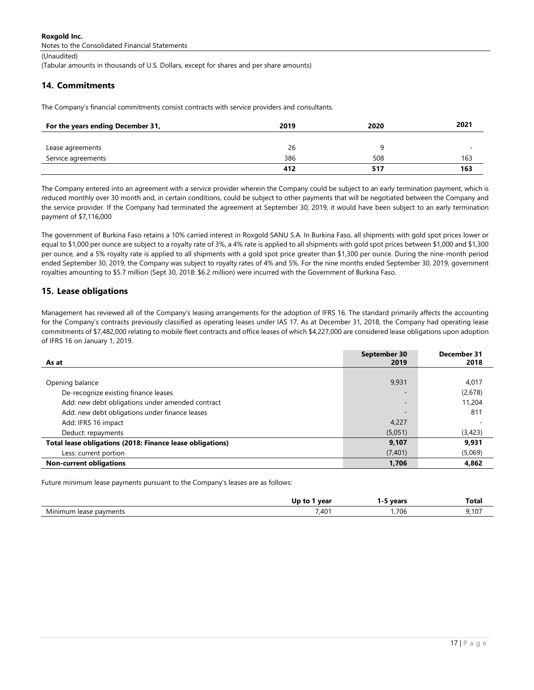## 14. Commitments

The Company's financial commitments consist contracts with service providers and consultants.

| For the years ending December 31, | 2019 | 2020 | 2021                     |
|-----------------------------------|------|------|--------------------------|
|                                   |      |      |                          |
| Lease agreements                  | 26   |      | $\overline{\phantom{a}}$ |
| Service agreements                | 386  | 508  | 163                      |
|                                   | 412  | 517  | 163                      |

The Company entered into an agreement with a service provider wherein the Company could be subject to an early termination payment, which is reduced monthly over 30 month and, in certain conditions, could be subject to other payments that will be negotiated between the Company and the service provider. If the Company had terminated the agreement at September 30, 2019, it would have been subject to an early termination payment of \$7,116,000

The government of Burkina Faso retains a 10% carried interest in Roxgold SANU S.A. In Burkina Faso, all shipments with gold spot prices lower or equal to \$1,000 per ounce are subject to a royalty rate of 3%, a 4% rate is applied to all shipments with gold spot prices between \$1,000 and \$1,300 per ounce, and a 5% royalty rate is applied to all shipments with a gold spot price greater than \$1,300 per ounce. During the nine-month period ended September 30, 2019, the Company was subject to royalty rates of 4% and 5%. For the nine months ended September 30, 2019, government royalties amounting to \$5.7 million (Sept 30, 2018: \$6.2 million) were incurred with the Government of Burkina Faso.

## 15. Lease obligations

Management has reviewed all of the Company's leasing arrangements for the adoption of IFRS 16. The standard primarily affects the accounting for the Company's contracts previously classified as operating leases under IAS 17. As at December 31, 2018, the Company had operating lease commitments of \$7,482,000 relating to mobile fleet contracts and office leases of which \$4,227,000 are considered lease obligations upon adoption of IFRS 16 on January 1, 2019.

| As at                                                     | September 30<br>2019     | December 31<br>2018 |
|-----------------------------------------------------------|--------------------------|---------------------|
|                                                           |                          |                     |
| Opening balance                                           | 9.931                    | 4.017               |
| De-recognize existing finance leases                      | $\qquad \qquad$          | (2,678)             |
| Add: new debt obligations under amended contract          | $\overline{\phantom{a}}$ | 11,204              |
| Add: new debt obligations under finance leases            | $\overline{\phantom{a}}$ | 811                 |
| Add: IFRS 16 impact                                       | 4.227                    |                     |
| Deduct: repayments                                        | (5,051)                  | (3,423)             |
| Total lease obligations (2018: Finance lease obligations) | 9.107                    | 9,931               |
| Less: current portion                                     | (7,401)                  | (5,069)             |
| <b>Non-current obligations</b>                            | 1,706                    | 4.862               |

Future minimum lease payments pursuant to the Company's leases are as follows:

|                                     | vear<br>Ur<br>- - | vears<br>$\cdot$<br>. | <b>Total</b>   |
|-------------------------------------|-------------------|-----------------------|----------------|
| .<br>Minimum<br>pavments ?<br>lease | .401              | 700<br>7 U U          | $\sim$<br>ו טו |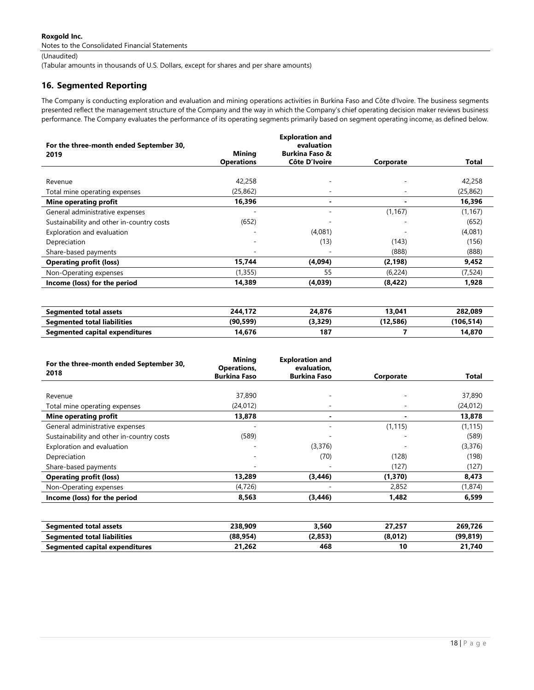(Tabular amounts in thousands of U.S. Dollars, except for shares and per share amounts)

## 16. Segmented Reporting

The Company is conducting exploration and evaluation and mining operations activities in Burkina Faso and Côte d'Ivoire. The business segments presented reflect the management structure of the Company and the way in which the Company's chief operating decision maker reviews business performance. The Company evaluates the performance of its operating segments primarily based on segment operating income, as defined below.

| For the three-month ended September 30,   |                             | <b>Exploration and</b><br>evaluation       |           |              |
|-------------------------------------------|-----------------------------|--------------------------------------------|-----------|--------------|
| 2019                                      | Mining<br><b>Operations</b> | <b>Burkina Faso &amp;</b><br>Côte D'Ivoire | Corporate | <b>Total</b> |
| Revenue                                   | 42,258                      |                                            |           | 42,258       |
| Total mine operating expenses             | (25, 862)                   |                                            |           | (25, 862)    |
| Mine operating profit                     | 16,396                      |                                            |           | 16,396       |
| General administrative expenses           |                             |                                            | (1, 167)  | (1, 167)     |
| Sustainability and other in-country costs | (652)                       |                                            | -         | (652)        |
| Exploration and evaluation                |                             | (4,081)                                    |           | (4,081)      |
| Depreciation                              |                             | (13)                                       | (143)     | (156)        |
| Share-based payments                      |                             |                                            | (888)     | (888)        |
| <b>Operating profit (loss)</b>            | 15,744                      | (4,094)                                    | (2, 198)  | 9,452        |
| Non-Operating expenses                    | (1, 355)                    | 55                                         | (6, 224)  | (7, 524)     |
| Income (loss) for the period              | 14,389                      | (4,039)                                    | (8, 422)  | 1,928        |

| Segmented total assets         | 244.172  | 24,876  | 13.041   | 282.089   |
|--------------------------------|----------|---------|----------|-----------|
| Segmented total liabilities    | (90.599) | (3,329) | (12.586) | (106.514) |
| Segmented capital expenditures | 14.676   | 187     |          | 14.870    |

| For the three-month ended September 30,   | <b>Minina</b><br>Operations, | <b>Exploration and</b><br>evaluation. |           |              |
|-------------------------------------------|------------------------------|---------------------------------------|-----------|--------------|
| 2018                                      | <b>Burkina Faso</b>          | <b>Burkina Faso</b>                   | Corporate | <b>Total</b> |
| Revenue                                   | 37,890                       |                                       |           | 37,890       |
| Total mine operating expenses             | (24, 012)                    |                                       |           | (24, 012)    |
| Mine operating profit                     | 13,878                       |                                       |           | 13,878       |
| General administrative expenses           |                              |                                       | (1, 115)  | (1, 115)     |
| Sustainability and other in-country costs | (589)                        |                                       |           | (589)        |
| Exploration and evaluation                |                              | (3,376)                               |           | (3,376)      |
| Depreciation                              |                              | (70)                                  | (128)     | (198)        |
| Share-based payments                      |                              |                                       | (127)     | (127)        |
| <b>Operating profit (loss)</b>            | 13,289                       | (3, 446)                              | (1,370)   | 8,473        |
| Non-Operating expenses                    | (4, 726)                     |                                       | 2,852     | (1, 874)     |
| Income (loss) for the period              | 8,563                        | (3, 446)                              | 1,482     | 6,599        |

| Segmented total assets         | 238,909  | 5.560   | 27.257  | 269.726   |
|--------------------------------|----------|---------|---------|-----------|
| Segmented total liabilities    | (88.954) | (2,853) | (8.012) | (99, 819) |
| Segmented capital expenditures | 21.262   | 468     | 10      | 21.740    |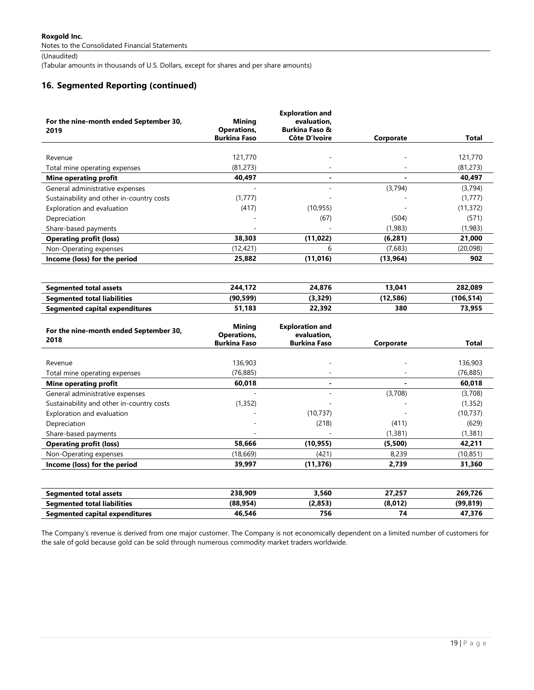## 16. Segmented Reporting (continued)

| For the nine-month ended September 30,<br>2019 | Mining<br>Operations,<br><b>Burkina Faso</b> | <b>Exploration and</b><br>evaluation.<br><b>Burkina Faso &amp;</b><br>Côte D'Ivoire | Corporate | Total     |
|------------------------------------------------|----------------------------------------------|-------------------------------------------------------------------------------------|-----------|-----------|
| Revenue                                        | 121,770                                      |                                                                                     |           | 121,770   |
| Total mine operating expenses                  | (81, 273)                                    |                                                                                     |           | (81, 273) |
| Mine operating profit                          | 40,497                                       |                                                                                     |           | 40,497    |
| General administrative expenses                |                                              |                                                                                     | (3,794)   | (3,794)   |
| Sustainability and other in-country costs      | (1,777)                                      |                                                                                     |           | (1,777)   |
| Exploration and evaluation                     | (417)                                        | (10, 955)                                                                           |           | (11, 372) |
| Depreciation                                   | -                                            | (67)                                                                                | (504)     | (571)     |
| Share-based payments                           |                                              |                                                                                     | (1,983)   | (1,983)   |
| <b>Operating profit (loss)</b>                 | 38,303                                       | (11, 022)                                                                           | (6,281)   | 21,000    |
| Non-Operating expenses                         | (12, 421)                                    | 6                                                                                   | (7,683)   | (20,098)  |
| Income (loss) for the period                   | 25,882                                       | (11,016)                                                                            | (13, 964) | 902       |

| Segmented total assets             | 244.172  | 24.876  | 13.041   | 282.089   |
|------------------------------------|----------|---------|----------|-----------|
| <b>Segmented total liabilities</b> | (90,599) | (3,329) | (12.586) | (106.514) |
| Segmented capital expenditures     | 51.183   | 22.392  | 380      | 73,955    |

| For the nine-month ended September 30,<br>2018 | Mining<br>Operations,<br><b>Burkina Faso</b> | <b>Exploration and</b><br>evaluation.<br><b>Burkina Faso</b> | Corporate | Total     |
|------------------------------------------------|----------------------------------------------|--------------------------------------------------------------|-----------|-----------|
|                                                |                                              |                                                              |           |           |
| Total mine operating expenses                  | (76, 885)                                    | ۰                                                            | ۰         | (76, 885) |
| Mine operating profit                          | 60,018                                       | $\blacksquare$                                               |           | 60,018    |
| General administrative expenses                |                                              |                                                              | (3,708)   | (3,708)   |
| Sustainability and other in-country costs      | (1, 352)                                     |                                                              |           | (1, 352)  |
| Exploration and evaluation                     |                                              | (10, 737)                                                    |           | (10, 737) |
| Depreciation                                   |                                              | (218)                                                        | (411)     | (629)     |
| Share-based payments                           |                                              |                                                              | (1, 381)  | (1, 381)  |
| <b>Operating profit (loss)</b>                 | 58,666                                       | (10, 955)                                                    | (5,500)   | 42,211    |
| Non-Operating expenses                         | (18, 669)                                    | (421)                                                        | 8,239     | (10, 851) |
| Income (loss) for the period                   | 39,997                                       | (11, 376)                                                    | 2,739     | 31,360    |
| <b>Segmented total assets</b>                  | 238,909                                      | 3,560                                                        | 27,257    | 269,726   |

The Company's revenue is derived from one major customer. The Company is not economically dependent on a limited number of customers for the sale of gold because gold can be sold through numerous commodity market traders worldwide.

Segmented total liabilities (88,954) (2,853) (8,012) (99,819) Segmented capital expenditures 16,546 756 74 756 74 47,376